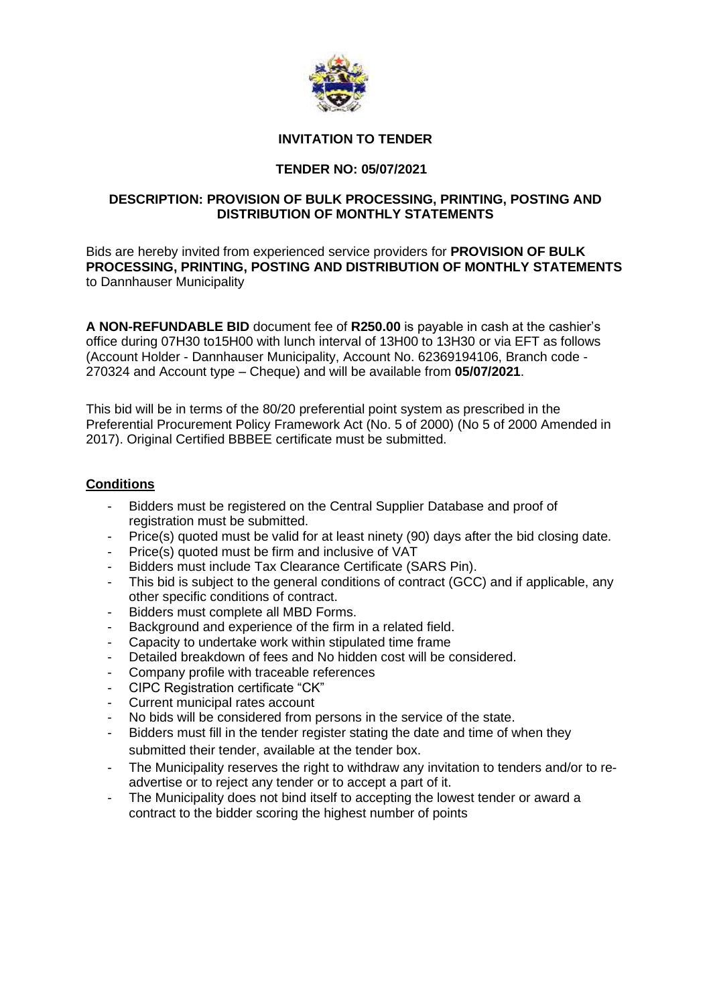

## **INVITATION TO TENDER**

# **TENDER NO: 05/07/2021**

## **DESCRIPTION: PROVISION OF BULK PROCESSING, PRINTING, POSTING AND DISTRIBUTION OF MONTHLY STATEMENTS**

Bids are hereby invited from experienced service providers for **PROVISION OF BULK PROCESSING, PRINTING, POSTING AND DISTRIBUTION OF MONTHLY STATEMENTS**  to Dannhauser Municipality

**A NON-REFUNDABLE BID** document fee of **R250.00** is payable in cash at the cashier's office during 07H30 to15H00 with lunch interval of 13H00 to 13H30 or via EFT as follows (Account Holder - Dannhauser Municipality, Account No. 62369194106, Branch code - 270324 and Account type – Cheque) and will be available from **05/07/2021**.

This bid will be in terms of the 80/20 preferential point system as prescribed in the Preferential Procurement Policy Framework Act (No. 5 of 2000) (No 5 of 2000 Amended in 2017). Original Certified BBBEE certificate must be submitted.

#### **Conditions**

- Bidders must be registered on the Central Supplier Database and proof of registration must be submitted.
- Price(s) quoted must be valid for at least ninety (90) days after the bid closing date.
- Price(s) quoted must be firm and inclusive of VAT
- Bidders must include Tax Clearance Certificate (SARS Pin).
- This bid is subject to the general conditions of contract (GCC) and if applicable, any other specific conditions of contract.
- Bidders must complete all MBD Forms.
- Background and experience of the firm in a related field.
- Capacity to undertake work within stipulated time frame
- Detailed breakdown of fees and No hidden cost will be considered.
- Company profile with traceable references
- CIPC Registration certificate "CK"
- Current municipal rates account
- No bids will be considered from persons in the service of the state.
- Bidders must fill in the tender register stating the date and time of when they submitted their tender, available at the tender box.
- The Municipality reserves the right to withdraw any invitation to tenders and/or to readvertise or to reject any tender or to accept a part of it.
- The Municipality does not bind itself to accepting the lowest tender or award a contract to the bidder scoring the highest number of points